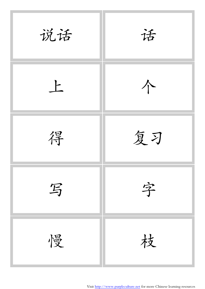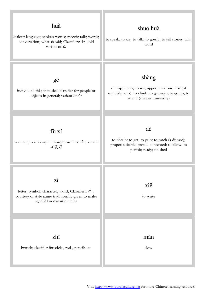

Visit<http://www.purpleculture.net> for more Chinese learning resources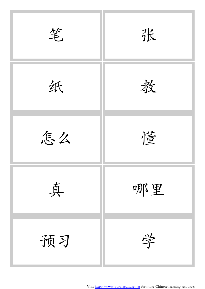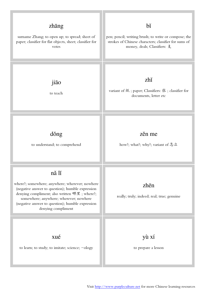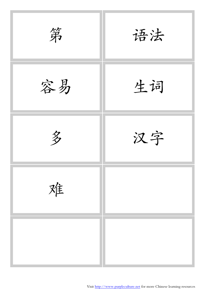